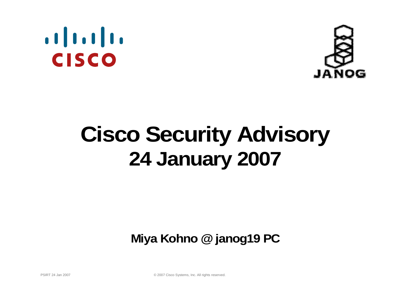### $\frac{1}{2}$ **CISCO**



# **Cisco Security Advisory 24 January 2007**

**Miya Kohno @janog19 PC**

PSIRT 24 Jan 2007 © 2007 Cisco Systems, Inc. All rights reserved.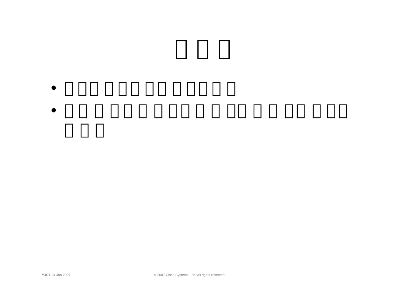•

•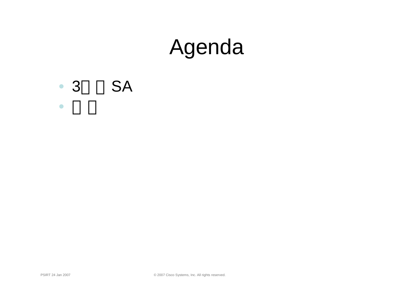### Agenda

### • 3 SA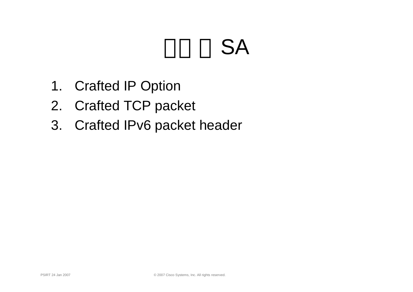## SA

- 1. Crafted IP Option
- 2. Crafted TCP packet
- 3. Crafted IPv6 packet header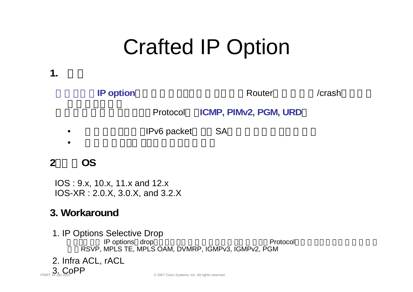### Crafted IP Option



#### **2 OS**

**1.**

IOS : 9.x, 10.x, 11.x and 12.x IOS-XR : 2.0.X, 3.0.X, and 3.2.X

#### **3. Workaround**

1. IP Options Selective Drop IP options drop **Protocol** RSVP, MPLS TE, MPLS OAM, DVMRP, IGMPv3, IGMPv2, PGM

2. Infra ACL, rACL  $3.$  CoPP

PSIRT 24 Jan 2007 Cisco Systems, Inc. All rights reserved.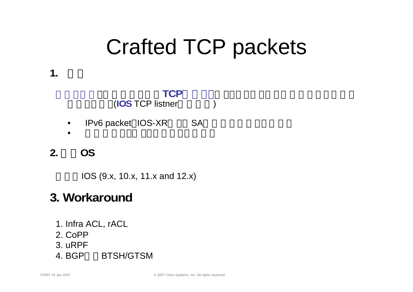### Crafted TCP packets

#### **TCP**

(**IOS** TCP listner )

- IPv6 packet IOS-XR SA
- •

**1.**

#### **2. OS**

IOS (9.x, 10.x, 11.x and 12.x)

#### **3. Workaround**

- 1. Infra ACL, rACL
- 2. CoPP
- 3. uRPF
- 4. BGP BTSH/GTSM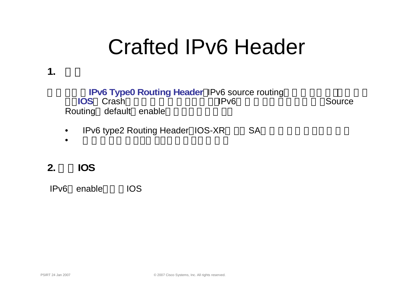### Crafted IPv6 Header

#### **1.**

**IPv6 Type0 Routing Header** IPv6 source routing **IOS** Crash **IPv6** Source Routing default enable

- IPv6 type2 Routing Header IOS-XR SA
- •

**2. IOS**

IPv6 enable IOS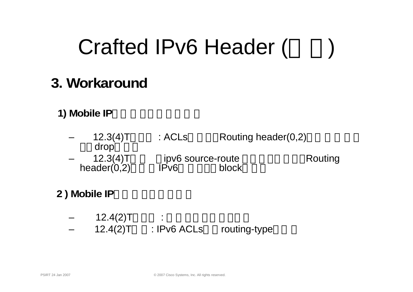### Crafted IPv6 Header ( )

### **3. Workaround**

#### **1) Mobile IP**

| $\frac{1}{2}$                   | 12.3(4)T<br>drop        | : ACLs | Routing header $(0,2)$     |         |
|---------------------------------|-------------------------|--------|----------------------------|---------|
| $\frac{1}{2}$ and $\frac{1}{2}$ | 12.3(4)T<br>header(0,2) | IPv6   | ipv6 source-route<br>block | Routing |

#### **2 ) Mobile IP**

 $-$  12.4(2)T :  $-$  12.4(2)T : IPv6 ACLs routing-type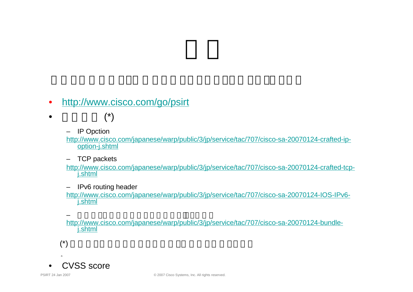#### • http://www.cisco.com/go/psirt

 $(*)$ 

– IP Opction

http://www.cisco.com/japanese/warp/public/3/jp/service/tac/707/cisco-sa-20070124-crafted-ipoption-j.shtml

– TCP packets

http://www.cisco.com/japanese/warp/public/3/jp/service/tac/707/cisco-sa-20070124-crafted-tcpj.shtml

– IPv6 routing header

http://www.cisco.com/japanese/warp/public/3/jp/service/tac/707/cisco-sa-20070124-IOS-IPv6 j.shtml

– http://www.cisco.com/japanese/warp/public/3/jp/service/tac/707/cisco-sa-20070124-bundlej.shtml

(\*)

n

• CVSS score